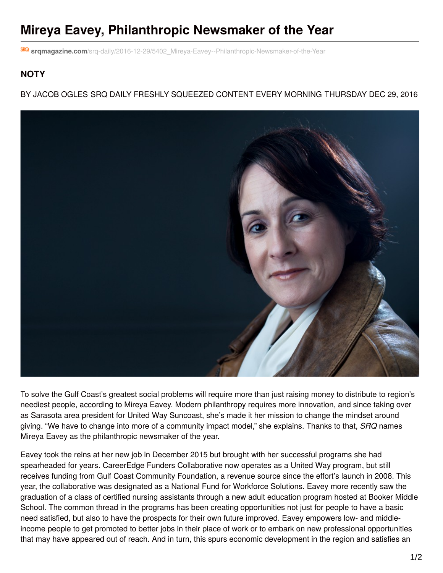## **Mireya Eavey, Philanthropic Newsmaker of the Year**

**srqmagazine.com**[/srq-daily/2016-12-29/5402\\_Mireya-Eavey--Philanthropic-Newsmaker-of-the-Year](http://www.srqmagazine.com/srq-daily/2016-12-29/5402_Mireya-Eavey--Philanthropic-Newsmaker-of-the-Year)

## **NOTY**

BY JACOB OGLES SRQ DAILY FRESHLY SQUEEZED CONTENT EVERY MORNING THURSDAY DEC 29, 2016



To solve the Gulf Coast's greatest social problems will require more than just raising money to distribute to region's neediest people, according to Mireya Eavey. Modern philanthropy requires more innovation, and since taking over as Sarasota area president for United Way Suncoast, she's made it her mission to change the mindset around giving. "We have to change into more of a community impact model," she explains. Thanks to that, *SRQ* names Mireya Eavey as the philanthropic newsmaker of the year.

Eavey took the reins at her new job in December 2015 but brought with her successful programs she had spearheaded for years. CareerEdge Funders Collaborative now operates as a United Way program, but still receives funding from Gulf Coast Community Foundation, a revenue source since the effort's launch in 2008. This year, the collaborative was designated as a National Fund for Workforce Solutions. Eavey more recently saw the graduation of a class of certified nursing assistants through a new adult education program hosted at Booker Middle School. The common thread in the programs has been creating opportunities not just for people to have a basic need satisfied, but also to have the prospects for their own future improved. Eavey empowers low- and middleincome people to get promoted to better jobs in their place of work or to embark on new professional opportunities that may have appeared out of reach. And in turn, this spurs economic development in the region and satisfies an